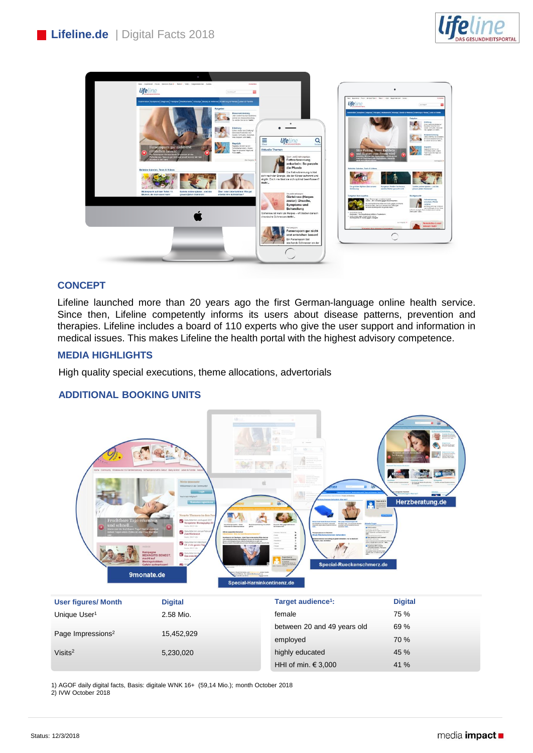



# **CONCEPT**

Lifeline launched more than 20 years ago the first German-language online health service. Since then, Lifeline competently informs its users about disease patterns, prevention and therapies. Lifeline includes a board of 110 experts who give the user support and information in medical issues. This makes Lifeline the health portal with the highest advisory competence.

### **MEDIA HIGHLIGHTS**

High quality special executions, theme allocations, advertorials

#### **ADDITIONAL BOOKING UNITS**



| <b>User figures/ Month</b>    | <b>Digital</b> | Target audience <sup>1</sup> : | <b>Digital</b> |
|-------------------------------|----------------|--------------------------------|----------------|
| Unique User <sup>1</sup>      | 2.58 Mio.      | female                         | 75 %           |
| Page Impressions <sup>2</sup> | 15,452,929     | between 20 and 49 years old    | 69 %           |
|                               |                | employed                       | 70%            |
| Visits <sup>2</sup>           | 5,230,020      | highly educated                | 45 %           |
|                               |                | HHI of min. $\in$ 3,000        | 41 %           |

1) AGOF daily digital facts, Basis: digitale WNK 16+ (59,14 Mio.); month October 2018 2) IVW October 2018